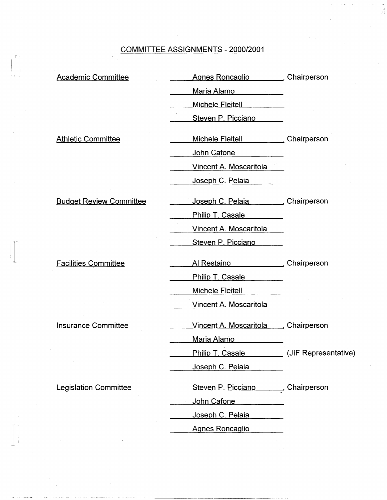## COMMITIEE ASSIGNMENTS - 2000/2001

 $\begin{picture}(20,5) \put(0,0){\line(1,0){155}} \put(15,0){\line(1,0){155}} \put(15,0){\line(1,0){155}} \put(15,0){\line(1,0){155}} \put(15,0){\line(1,0){155}} \put(15,0){\line(1,0){155}} \put(15,0){\line(1,0){155}} \put(15,0){\line(1,0){155}} \put(15,0){\line(1,0){155}} \put(15,0){\line(1,0){155}} \put(15,0){\line(1,0){155}} \put$ 

 $\begin{bmatrix} 1 & 1 & 1 \\ 1 & 1 & 1 \\ 1 & 1 & 1 \end{bmatrix}$ 

| <b>Academic Committee</b>      | Agnes Roncaglio ________, Chairperson    |                      |
|--------------------------------|------------------------------------------|----------------------|
|                                | Maria Alamo                              |                      |
|                                | Michele Fleitell <b>Michele</b> Fleitell |                      |
|                                | Steven P. Picciano                       |                      |
| <b>Athletic Committee</b>      |                                          |                      |
|                                | John Cafone                              |                      |
|                                | Vincent A. Moscaritola                   |                      |
|                                | Joseph C. Pelaia                         |                      |
| <b>Budget Review Committee</b> | Joseph C. Pelaia Chairperson             |                      |
|                                | Philip T. Casale                         |                      |
|                                | Vincent A. Moscaritola                   |                      |
|                                | Steven P. Picciano                       |                      |
| <b>Facilities Committee</b>    |                                          |                      |
|                                | Philip T. Casale                         |                      |
|                                | <b>Michele Fleitell</b>                  |                      |
|                                | Vincent A. Moscaritola                   |                      |
| <b>Insurance Committee</b>     | Vincent A. Moscaritola Chairperson       |                      |
|                                | Maria Alamo                              |                      |
|                                | <b>Philip T. Casale</b>                  | (JIF Representative) |
|                                | Joseph C. Pelaia                         |                      |
| <b>Legislation Committee</b>   | Steven P. Picciano                       | ,Chairperson         |
|                                | John Cafone                              |                      |
|                                | Joseph C. Pelaia                         |                      |
|                                | <b>Agnes Roncaglio</b>                   |                      |
|                                |                                          |                      |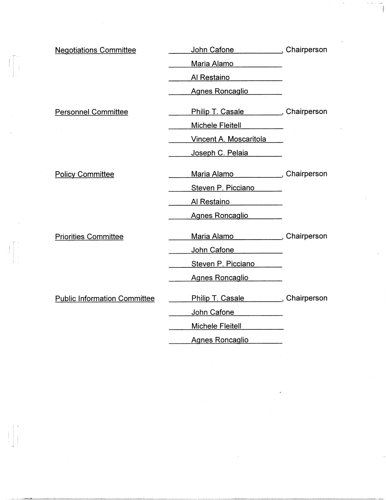| <b>Negotiations Committee</b>       | John Cafone (John Cafone                |  |
|-------------------------------------|-----------------------------------------|--|
|                                     | Maria Alamo                             |  |
|                                     | Al Restaino                             |  |
|                                     | Agnes Roncaglio                         |  |
| <b>Personnel Committee</b>          | Philip T. Casale _________, Chairperson |  |
|                                     | Michele Fleitell                        |  |
|                                     | Vincent A. Moscaritola                  |  |
|                                     | Joseph C. Pelaia                        |  |
| <b>Policy Committee</b>             | Maria Alamo (Chairperson                |  |
|                                     | Steven P. Picciano                      |  |
|                                     | Al Restaino                             |  |
|                                     | Agnes Roncaglio                         |  |
| <b>Priorities Committee</b>         | Maria Alamo (Chairperson                |  |
|                                     | John Cafone <b>Marshall</b>             |  |
|                                     | Steven P. Picciano                      |  |
|                                     | Agnes Roncaglio                         |  |
| <b>Public Information Committee</b> | Philip T. Casale (Philip T. Casale      |  |
|                                     | John Cafone                             |  |
|                                     | Michele Fleitell                        |  |
|                                     | Agnes Roncaglio                         |  |

 $\begin{array}{c} \begin{array}{c} \begin{array}{c} \begin{array}{c} \begin{array}{c} \end{array} \\ \end{array} \\ \begin{array}{c} \end{array} \\ \begin{array}{c} \end{array} \\ \end{array} \\ \begin{array}{c} \end{array} \end{array} \end{array}$ 

j. r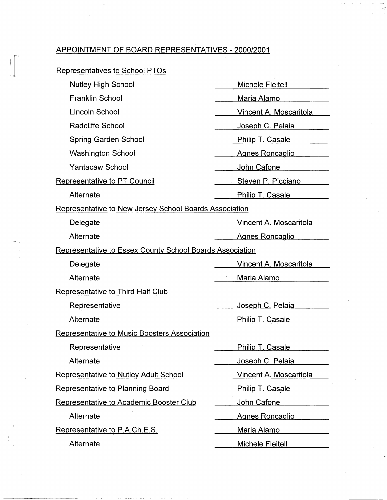## APPOINTMENT OF BOARD REPRESENTATIVES- 2000/2001

## Representatives to School PTOs

 $\begin{bmatrix} 1 & 1 \\ 1 & 1 \\ 1 & 1 \end{bmatrix}$ 

| <b>Nutley High School</b>                                       | Michele Fleitell              |  |
|-----------------------------------------------------------------|-------------------------------|--|
| <b>Franklin School</b>                                          | Maria Alamo                   |  |
| Lincoln School                                                  | <u>Vincent A. Moscaritola</u> |  |
| <b>Radcliffe School</b>                                         | Joseph C. Pelaia              |  |
| <b>Spring Garden School</b>                                     | <b>Philip T. Casale</b>       |  |
| <b>Washington School</b>                                        | <b>Agnes Roncaglio</b>        |  |
| <b>Yantacaw School</b>                                          | John Cafone                   |  |
| <b>Representative to PT Council</b>                             | Steven P. Picciano            |  |
| Alternate                                                       | <b>Philip T. Casale</b>       |  |
| <b>Representative to New Jersey School Boards Association</b>   |                               |  |
| Delegate                                                        | <u>Vincent A. Moscaritola</u> |  |
| Alternate                                                       | <b>Agnes Roncaglio</b>        |  |
| <b>Representative to Essex County School Boards Association</b> |                               |  |
| Delegate                                                        | Vincent A. Moscaritola        |  |
| Alternate                                                       | Maria Alamo                   |  |
| <b>Representative to Third Half Club</b>                        |                               |  |
| Representative                                                  | Joseph C. Pelaia              |  |
| Alternate                                                       | Philip T. Casale              |  |
| <b>Representative to Music Boosters Association</b>             |                               |  |
| Representative                                                  | <b>Philip T. Casale</b>       |  |
| Alternate                                                       | Joseph C. Pelaia              |  |
| Representative to Nutley Adult School                           | <b>Vincent A. Moscaritola</b> |  |
| <b>Representative to Planning Board</b>                         | Philip T. Casale              |  |
| Representative to Academic Booster Club                         | John Cafone                   |  |
| Alternate                                                       | <b>Agnes Roncaglio</b>        |  |
| Representative to P.A.Ch.E.S.                                   | <b>Maria Alamo</b>            |  |
| Alternate                                                       | Michele Fleitell              |  |
|                                                                 |                               |  |